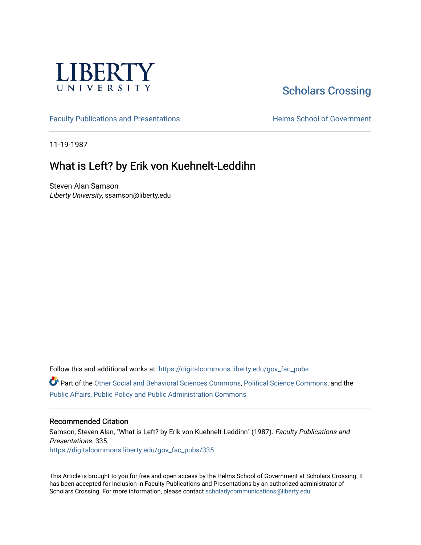

## [Scholars Crossing](https://digitalcommons.liberty.edu/)

[Faculty Publications and Presentations](https://digitalcommons.liberty.edu/gov_fac_pubs) **Exercise School of Government** 

11-19-1987

## What is Left? by Erik von Kuehnelt-Leddihn

Steven Alan Samson Liberty University, ssamson@liberty.edu

Follow this and additional works at: [https://digitalcommons.liberty.edu/gov\\_fac\\_pubs](https://digitalcommons.liberty.edu/gov_fac_pubs?utm_source=digitalcommons.liberty.edu%2Fgov_fac_pubs%2F335&utm_medium=PDF&utm_campaign=PDFCoverPages)

Part of the [Other Social and Behavioral Sciences Commons](http://network.bepress.com/hgg/discipline/437?utm_source=digitalcommons.liberty.edu%2Fgov_fac_pubs%2F335&utm_medium=PDF&utm_campaign=PDFCoverPages), [Political Science Commons](http://network.bepress.com/hgg/discipline/386?utm_source=digitalcommons.liberty.edu%2Fgov_fac_pubs%2F335&utm_medium=PDF&utm_campaign=PDFCoverPages), and the [Public Affairs, Public Policy and Public Administration Commons](http://network.bepress.com/hgg/discipline/393?utm_source=digitalcommons.liberty.edu%2Fgov_fac_pubs%2F335&utm_medium=PDF&utm_campaign=PDFCoverPages)

## Recommended Citation

Samson, Steven Alan, "What is Left? by Erik von Kuehnelt-Leddihn" (1987). Faculty Publications and Presentations. 335. [https://digitalcommons.liberty.edu/gov\\_fac\\_pubs/335](https://digitalcommons.liberty.edu/gov_fac_pubs/335?utm_source=digitalcommons.liberty.edu%2Fgov_fac_pubs%2F335&utm_medium=PDF&utm_campaign=PDFCoverPages)

This Article is brought to you for free and open access by the Helms School of Government at Scholars Crossing. It has been accepted for inclusion in Faculty Publications and Presentations by an authorized administrator of Scholars Crossing. For more information, please contact [scholarlycommunications@liberty.edu.](mailto:scholarlycommunications@liberty.edu)